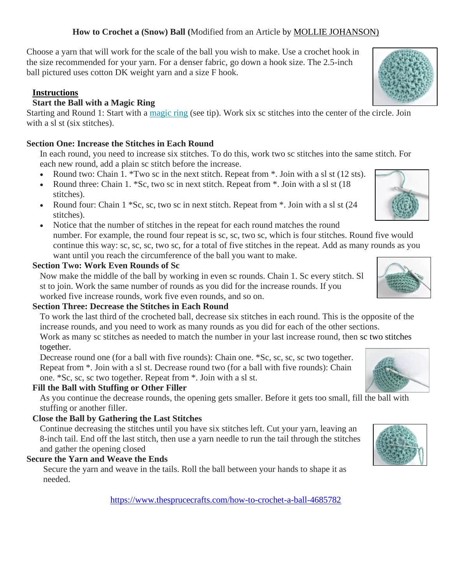#### **How to Crochet a (Snow) Ball (**Modified from an Article by [MOLLIE JOHANSON\)](https://www.thesprucecrafts.com/mollie-johanson-1177359)

Choose a yarn that will work for the scale of the ball you wish to make. Use a crochet hook in the size recommended for your yarn. For a denser fabric, go down a hook size. The 2.5-inch ball pictured uses cotton DK weight yarn and a size F hook.

#### **Instructions**

### **Start the Ball with a Magic Ring**

Starting and Round 1: Start with a [magic ring](https://www.thesprucecrafts.com/crochet-magic-circle-tutorial-4589016) (see tip). Work six sc stitches into the center of the circle. Join with a sl st (six stitches).

### **Section One: Increase the Stitches in Each Round**

In each round, you need to increase six stitches. To do this, work two sc stitches into the same stitch. For each new round, add a plain sc stitch before the increase.

- Round two: Chain 1. \*Two sc in the next stitch. Repeat from  $*$ . Join with a sl st (12 sts).
- Round three: Chain 1. \*Sc, two sc in next stitch. Repeat from \*. Join with a sl st (18) stitches).
- Round four: Chain  $1 * Sc$ , sc, two sc in next stitch. Repeat from  $*$ . Join with a sl st  $(24)$ stitches).
- Notice that the number of stitches in the repeat for each round matches the round number. For example, the round four repeat is sc, sc, two sc, which is four stitches. Round five would continue this way: sc, sc, sc, two sc, for a total of five stitches in the repeat. Add as many rounds as you want until you reach the circumference of the ball you want to make.

### **Section Two: Work Even Rounds of Sc**

Now make the middle of the ball by working in even sc rounds. Chain 1. Sc every stitch. Sl st to join. Work the same number of rounds as you did for the increase rounds. If you worked five increase rounds, work five even rounds, and so on.

# **Section Three: Decrease the Stitches in Each Round**

To work the last third of the crocheted ball, decrease six stitches in each round. This is the opposite of the increase rounds, and you need to work as many rounds as you did for each of the other sections.

Work as many sc stitches as needed to match the number in your last increase round, then sc two stitches together.

Decrease round one (for a ball with five rounds): Chain one. \*Sc, sc, sc, sc two together. Repeat from \*. Join with a sl st. Decrease round two (for a ball with five rounds): Chain one. \*Sc, sc, sc two together. Repeat from \*. Join with a sl st.

# **Fill the Ball with Stuffing or Other Filler**

As you continue the decrease rounds, the opening gets smaller. Before it gets too small, fill the ball with stuffing or another filler.

# **Close the Ball by Gathering the Last Stitches**

Continue decreasing the stitches until you have six stitches left. Cut your yarn, leaving an 8-inch tail. End off the last stitch, then use a yarn needle to run the tail through the stitches and gather the opening closed

# **Secure the Yarn and Weave the Ends**

Secure the yarn and weave in the tails. Roll the ball between your hands to shape it as needed.

<https://www.thesprucecrafts.com/how-to-crochet-a-ball-4685782>